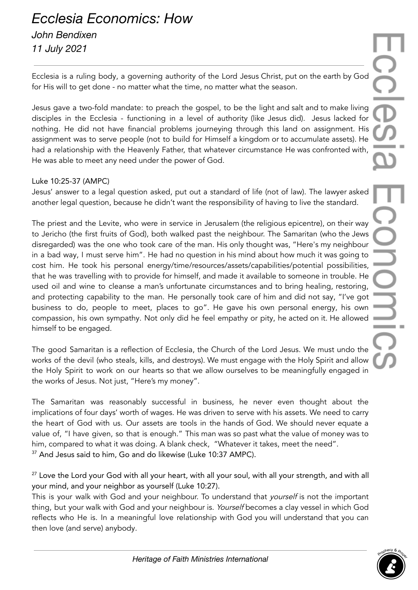## *Ecclesia Economics: How John Bendixen 11 July 2021*

Ecclesia is a ruling body, a governing authority of the Lord Jesus Christ, put on the earth by God for His will to get done - no matter what the time, no matter what the season.

Jesus gave a two-fold mandate: to preach the gospel, to be the light and salt and to make living disciples in the Ecclesia - functioning in a level of authority (like Jesus did). Jesus lacked for nothing. He did not have financial problems journeying through this land on assignment. His assignment was to serve people (not to build for Himself a kingdom or to accumulate assets). He had a relationship with the Heavenly Father, that whatever circumstance He was confronted with, He was able to meet any need under the power of God.

## Luke 10:25-37 (AMPC)

Jesus' answer to a legal question asked, put out a standard of life (not of law). The lawyer asked another legal question, because he didn't want the responsibility of having to live the standard.

The priest and the Levite, who were in service in Jerusalem (the religious epicentre), on their way to Jericho (the first fruits of God), both walked past the neighbour. The Samaritan (who the Jews disregarded) was the one who took care of the man. His only thought was, "Here's my neighbour in a bad way, I must serve him". He had no question in his mind about how much it was going to cost him. He took his personal energy/time/resources/assets/capabilities/potential possibilities, that he was travelling with to provide for himself, and made it available to someone in trouble. He used oil and wine to cleanse a man's unfortunate circumstances and to bring healing, restoring, and protecting capability to the man. He personally took care of him and did not say, "I've got business to do, people to meet, places to go". He gave his own personal energy, his own compassion, his own sympathy. Not only did he feel empathy or pity, he acted on it. He allowed himself to be engaged.

The good Samaritan is a reflection of Ecclesia, the Church of the Lord Jesus. We must undo the works of the devil (who steals, kills, and destroys). We must engage with the Holy Spirit and allow the Holy Spirit to work on our hearts so that we allow ourselves to be meaningfully engaged in the works of Jesus. Not just, "Here's my money".

The Samaritan was reasonably successful in business, he never even thought about the implications of four days' worth of wages. He was driven to serve with his assets. We need to carry the heart of God with us. Our assets are tools in the hands of God. We should never equate a value of, "I have given, so that is enough." This man was so past what the value of money was to him, compared to what it was doing. A blank check, "Whatever it takes, meet the need". <sup>37</sup> And Jesus said to him, Go and do likewise (Luke 10:37 AMPC).

<sup>27</sup> Love the Lord your God with all your heart, with all your soul, with all your strength, and with all your mind, and your neighbor as yourself (Luke 10:27).

This is your walk with God and your neighbour. To understand that *yourself* is not the important thing, but your walk with God and your neighbour is. Yourself becomes a clay vessel in which God reflects who He is. In a meaningful love relationship with God you will understand that you can then love (and serve) anybody.